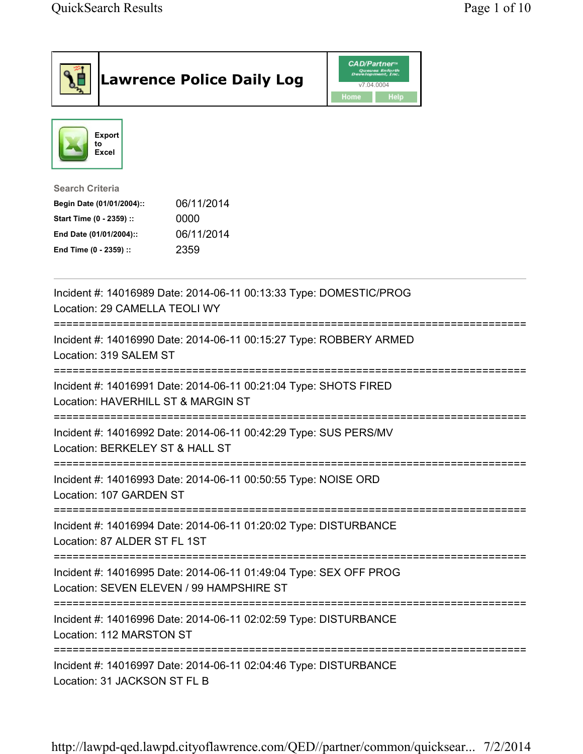| <b>Lawrence Police Daily Log</b>                                                                                                                                                 | <b>CAD/Partner</b> ®<br>Queues Enforth<br>Development, Inc.<br>v7.04.0004<br>Home<br><b>Help</b> |
|----------------------------------------------------------------------------------------------------------------------------------------------------------------------------------|--------------------------------------------------------------------------------------------------|
| <b>Export</b><br>to<br>Excel                                                                                                                                                     |                                                                                                  |
| <b>Search Criteria</b><br>06/11/2014<br>Begin Date (01/01/2004)::<br>Start Time (0 - 2359) ::<br>0000<br>06/11/2014<br>End Date (01/01/2004)::<br>2359<br>End Time (0 - 2359) :: |                                                                                                  |
| Incident #: 14016989 Date: 2014-06-11 00:13:33 Type: DOMESTIC/PROG<br>Location: 29 CAMELLA TEOLI WY                                                                              |                                                                                                  |
| Incident #: 14016990 Date: 2014-06-11 00:15:27 Type: ROBBERY ARMED<br>Location: 319 SALEM ST                                                                                     |                                                                                                  |
| Incident #: 14016991 Date: 2014-06-11 00:21:04 Type: SHOTS FIRED<br>Location: HAVERHILL ST & MARGIN ST                                                                           |                                                                                                  |
| Incident #: 14016992 Date: 2014-06-11 00:42:29 Type: SUS PERS/MV<br>Location: BERKELEY ST & HALL ST                                                                              |                                                                                                  |
| Incident #: 14016993 Date: 2014-06-11 00:50:55 Type: NOISE ORD<br>Location: 107 GARDEN ST                                                                                        |                                                                                                  |
| Incident #: 14016994 Date: 2014-06-11 01:20:02 Type: DISTURBANCE<br>Location: 87 ALDER ST FL 1ST                                                                                 |                                                                                                  |
| Incident #: 14016995 Date: 2014-06-11 01:49:04 Type: SEX OFF PROG<br>Location: SEVEN ELEVEN / 99 HAMPSHIRE ST                                                                    |                                                                                                  |
| ===================================<br>Incident #: 14016996 Date: 2014-06-11 02:02:59 Type: DISTURBANCE<br>Location: 112 MARSTON ST                                              |                                                                                                  |
| Incident #: 14016997 Date: 2014-06-11 02:04:46 Type: DISTURBANCE<br>Location: 31 JACKSON ST FL B                                                                                 |                                                                                                  |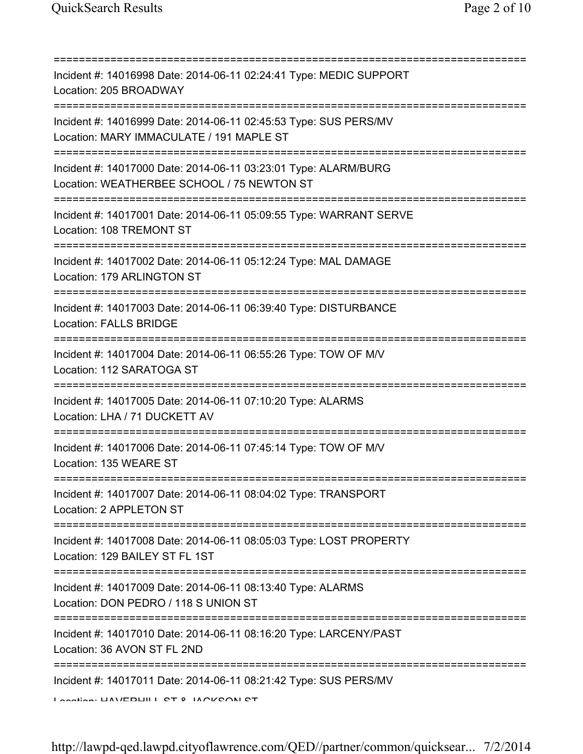| Incident #: 14016998 Date: 2014-06-11 02:24:41 Type: MEDIC SUPPORT<br>Location: 205 BROADWAY                                                            |
|---------------------------------------------------------------------------------------------------------------------------------------------------------|
| Incident #: 14016999 Date: 2014-06-11 02:45:53 Type: SUS PERS/MV<br>Location: MARY IMMACULATE / 191 MAPLE ST<br>================================        |
| Incident #: 14017000 Date: 2014-06-11 03:23:01 Type: ALARM/BURG<br>Location: WEATHERBEE SCHOOL / 75 NEWTON ST<br>-------------------------------------- |
| Incident #: 14017001 Date: 2014-06-11 05:09:55 Type: WARRANT SERVE<br>Location: 108 TREMONT ST                                                          |
| Incident #: 14017002 Date: 2014-06-11 05:12:24 Type: MAL DAMAGE<br>Location: 179 ARLINGTON ST<br>=====================================                  |
| Incident #: 14017003 Date: 2014-06-11 06:39:40 Type: DISTURBANCE<br><b>Location: FALLS BRIDGE</b><br>====================================               |
| Incident #: 14017004 Date: 2014-06-11 06:55:26 Type: TOW OF M/V<br>Location: 112 SARATOGA ST                                                            |
| Incident #: 14017005 Date: 2014-06-11 07:10:20 Type: ALARMS<br>Location: LHA / 71 DUCKETT AV                                                            |
| Incident #: 14017006 Date: 2014-06-11 07:45:14 Type: TOW OF M/V<br>Location: 135 WEARE ST                                                               |
| Incident #: 14017007 Date: 2014-06-11 08:04:02 Type: TRANSPORT<br>Location: 2 APPLETON ST                                                               |
| Incident #: 14017008 Date: 2014-06-11 08:05:03 Type: LOST PROPERTY<br>Location: 129 BAILEY ST FL 1ST                                                    |
| Incident #: 14017009 Date: 2014-06-11 08:13:40 Type: ALARMS<br>Location: DON PEDRO / 118 S UNION ST                                                     |
| Incident #: 14017010 Date: 2014-06-11 08:16:20 Type: LARCENY/PAST<br>Location: 36 AVON ST FL 2ND                                                        |
| Incident #: 14017011 Date: 2014-06-11 08:21:42 Type: SUS PERS/MV<br>Lootion LIAVEDLIII L CT 0 IAOI/CON CT                                               |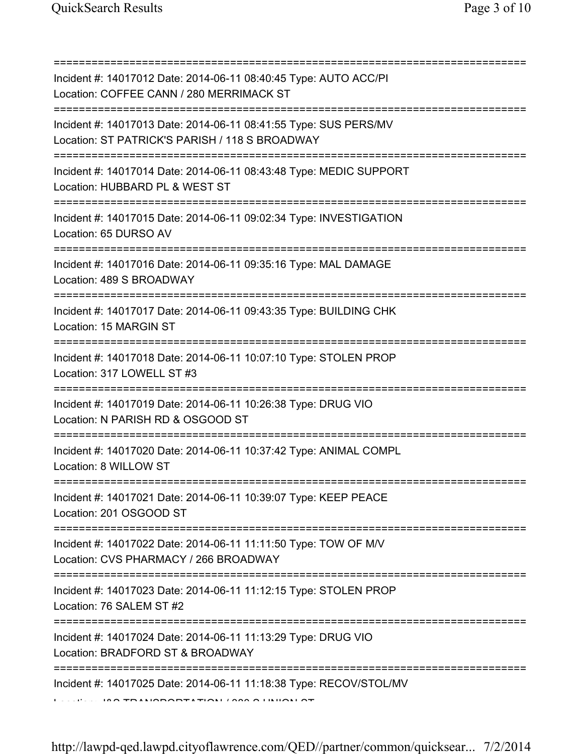| Incident #: 14017012 Date: 2014-06-11 08:40:45 Type: AUTO ACC/PI<br>Location: COFFEE CANN / 280 MERRIMACK ST<br>Incident #: 14017013 Date: 2014-06-11 08:41:55 Type: SUS PERS/MV<br>Location: ST PATRICK'S PARISH / 118 S BROADWAY<br>Incident #: 14017014 Date: 2014-06-11 08:43:48 Type: MEDIC SUPPORT<br>Location: HUBBARD PL & WEST ST<br>=======================<br>Incident #: 14017015 Date: 2014-06-11 09:02:34 Type: INVESTIGATION<br>Location: 65 DURSO AV<br>Incident #: 14017016 Date: 2014-06-11 09:35:16 Type: MAL DAMAGE<br>Location: 489 S BROADWAY<br>============<br>Incident #: 14017017 Date: 2014-06-11 09:43:35 Type: BUILDING CHK<br>Location: 15 MARGIN ST<br>Incident #: 14017018 Date: 2014-06-11 10:07:10 Type: STOLEN PROP<br>Location: 317 LOWELL ST #3<br>Incident #: 14017019 Date: 2014-06-11 10:26:38 Type: DRUG VIO<br>Location: N PARISH RD & OSGOOD ST<br>Incident #: 14017020 Date: 2014-06-11 10:37:42 Type: ANIMAL COMPL<br>Location: 8 WILLOW ST<br>Incident #: 14017021 Date: 2014-06-11 10:39:07 Type: KEEP PEACE<br>Location: 201 OSGOOD ST<br>Incident #: 14017022 Date: 2014-06-11 11:11:50 Type: TOW OF M/V<br>Location: CVS PHARMACY / 266 BROADWAY<br>Incident #: 14017023 Date: 2014-06-11 11:12:15 Type: STOLEN PROP<br>Location: 76 SALEM ST #2<br>Incident #: 14017024 Date: 2014-06-11 11:13:29 Type: DRUG VIO<br>Location: BRADFORD ST & BROADWAY<br>:========<br>Incident #: 14017025 Date: 2014-06-11 11:18:38 Type: RECOV/STOL/MV |  |
|--------------------------------------------------------------------------------------------------------------------------------------------------------------------------------------------------------------------------------------------------------------------------------------------------------------------------------------------------------------------------------------------------------------------------------------------------------------------------------------------------------------------------------------------------------------------------------------------------------------------------------------------------------------------------------------------------------------------------------------------------------------------------------------------------------------------------------------------------------------------------------------------------------------------------------------------------------------------------------------------------------------------------------------------------------------------------------------------------------------------------------------------------------------------------------------------------------------------------------------------------------------------------------------------------------------------------------------------------------------------------------------------------------------------------------------------------------------------------------------------|--|
|                                                                                                                                                                                                                                                                                                                                                                                                                                                                                                                                                                                                                                                                                                                                                                                                                                                                                                                                                                                                                                                                                                                                                                                                                                                                                                                                                                                                                                                                                            |  |
|                                                                                                                                                                                                                                                                                                                                                                                                                                                                                                                                                                                                                                                                                                                                                                                                                                                                                                                                                                                                                                                                                                                                                                                                                                                                                                                                                                                                                                                                                            |  |
|                                                                                                                                                                                                                                                                                                                                                                                                                                                                                                                                                                                                                                                                                                                                                                                                                                                                                                                                                                                                                                                                                                                                                                                                                                                                                                                                                                                                                                                                                            |  |
|                                                                                                                                                                                                                                                                                                                                                                                                                                                                                                                                                                                                                                                                                                                                                                                                                                                                                                                                                                                                                                                                                                                                                                                                                                                                                                                                                                                                                                                                                            |  |
|                                                                                                                                                                                                                                                                                                                                                                                                                                                                                                                                                                                                                                                                                                                                                                                                                                                                                                                                                                                                                                                                                                                                                                                                                                                                                                                                                                                                                                                                                            |  |
|                                                                                                                                                                                                                                                                                                                                                                                                                                                                                                                                                                                                                                                                                                                                                                                                                                                                                                                                                                                                                                                                                                                                                                                                                                                                                                                                                                                                                                                                                            |  |
|                                                                                                                                                                                                                                                                                                                                                                                                                                                                                                                                                                                                                                                                                                                                                                                                                                                                                                                                                                                                                                                                                                                                                                                                                                                                                                                                                                                                                                                                                            |  |
|                                                                                                                                                                                                                                                                                                                                                                                                                                                                                                                                                                                                                                                                                                                                                                                                                                                                                                                                                                                                                                                                                                                                                                                                                                                                                                                                                                                                                                                                                            |  |
|                                                                                                                                                                                                                                                                                                                                                                                                                                                                                                                                                                                                                                                                                                                                                                                                                                                                                                                                                                                                                                                                                                                                                                                                                                                                                                                                                                                                                                                                                            |  |
|                                                                                                                                                                                                                                                                                                                                                                                                                                                                                                                                                                                                                                                                                                                                                                                                                                                                                                                                                                                                                                                                                                                                                                                                                                                                                                                                                                                                                                                                                            |  |
|                                                                                                                                                                                                                                                                                                                                                                                                                                                                                                                                                                                                                                                                                                                                                                                                                                                                                                                                                                                                                                                                                                                                                                                                                                                                                                                                                                                                                                                                                            |  |
|                                                                                                                                                                                                                                                                                                                                                                                                                                                                                                                                                                                                                                                                                                                                                                                                                                                                                                                                                                                                                                                                                                                                                                                                                                                                                                                                                                                                                                                                                            |  |
|                                                                                                                                                                                                                                                                                                                                                                                                                                                                                                                                                                                                                                                                                                                                                                                                                                                                                                                                                                                                                                                                                                                                                                                                                                                                                                                                                                                                                                                                                            |  |
| <b>LESSAGE IN A TRANSPORTATION LOOK A LINION</b>                                                                                                                                                                                                                                                                                                                                                                                                                                                                                                                                                                                                                                                                                                                                                                                                                                                                                                                                                                                                                                                                                                                                                                                                                                                                                                                                                                                                                                           |  |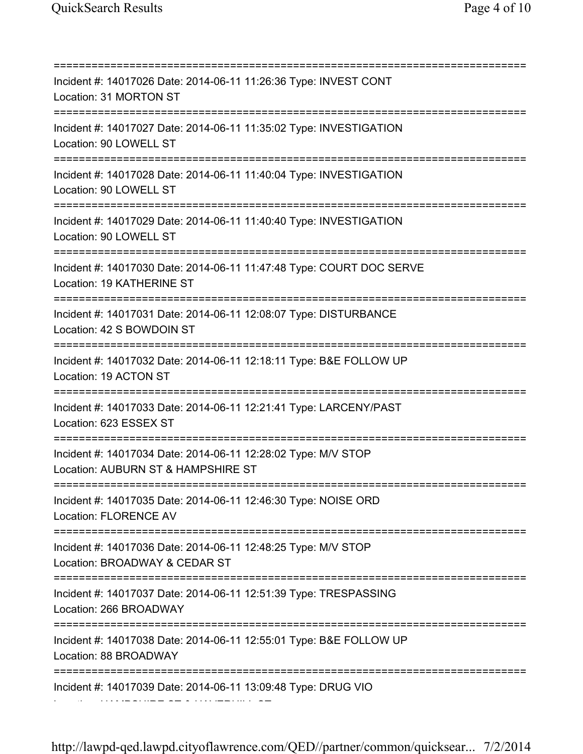=========================================================================== Incident #: 14017026 Date: 2014-06-11 11:26:36 Type: INVEST CONT Location: 31 MORTON ST =========================================================================== Incident #: 14017027 Date: 2014-06-11 11:35:02 Type: INVESTIGATION Location: 90 LOWELL ST =========================================================================== Incident #: 14017028 Date: 2014-06-11 11:40:04 Type: INVESTIGATION Location: 90 LOWELL ST =========================================================================== Incident #: 14017029 Date: 2014-06-11 11:40:40 Type: INVESTIGATION Location: 90 LOWELL ST =========================================================================== Incident #: 14017030 Date: 2014-06-11 11:47:48 Type: COURT DOC SERVE Location: 19 KATHERINE ST =========================================================================== Incident #: 14017031 Date: 2014-06-11 12:08:07 Type: DISTURBANCE Location: 42 S BOWDOIN ST =========================================================================== Incident #: 14017032 Date: 2014-06-11 12:18:11 Type: B&E FOLLOW UP Location: 19 ACTON ST =========================================================================== Incident #: 14017033 Date: 2014-06-11 12:21:41 Type: LARCENY/PAST Location: 623 ESSEX ST =========================================================================== Incident #: 14017034 Date: 2014-06-11 12:28:02 Type: M/V STOP Location: AUBURN ST & HAMPSHIRE ST =========================================================================== Incident #: 14017035 Date: 2014-06-11 12:46:30 Type: NOISE ORD Location: FLORENCE AV =========================================================================== Incident #: 14017036 Date: 2014-06-11 12:48:25 Type: M/V STOP Location: BROADWAY & CEDAR ST =========================================================================== Incident #: 14017037 Date: 2014-06-11 12:51:39 Type: TRESPASSING Location: 266 BROADWAY =========================================================================== Incident #: 14017038 Date: 2014-06-11 12:55:01 Type: B&E FOLLOW UP Location: 88 BROADWAY =========================================================================== Incident #: 14017039 Date: 2014-06-11 13:09:48 Type: DRUG VIO Location: HAMPSHIRE ST & HAVERHILL ST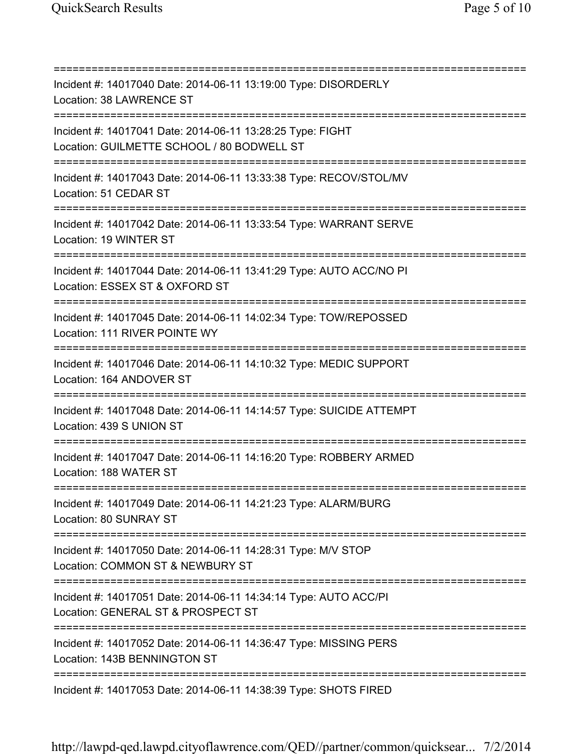=========================================================================== Incident #: 14017040 Date: 2014-06-11 13:19:00 Type: DISORDERLY Location: 38 LAWRENCE ST =========================================================================== Incident #: 14017041 Date: 2014-06-11 13:28:25 Type: FIGHT Location: GUILMETTE SCHOOL / 80 BODWELL ST =========================================================================== Incident #: 14017043 Date: 2014-06-11 13:33:38 Type: RECOV/STOL/MV Location: 51 CEDAR ST =========================================================================== Incident #: 14017042 Date: 2014-06-11 13:33:54 Type: WARRANT SERVE Location: 19 WINTER ST =========================================================================== Incident #: 14017044 Date: 2014-06-11 13:41:29 Type: AUTO ACC/NO PI Location: ESSEX ST & OXFORD ST =========================================================================== Incident #: 14017045 Date: 2014-06-11 14:02:34 Type: TOW/REPOSSED Location: 111 RIVER POINTE WY =========================================================================== Incident #: 14017046 Date: 2014-06-11 14:10:32 Type: MEDIC SUPPORT Location: 164 ANDOVER ST =========================================================================== Incident #: 14017048 Date: 2014-06-11 14:14:57 Type: SUICIDE ATTEMPT Location: 439 S UNION ST =========================================================================== Incident #: 14017047 Date: 2014-06-11 14:16:20 Type: ROBBERY ARMED Location: 188 WATER ST =========================================================================== Incident #: 14017049 Date: 2014-06-11 14:21:23 Type: ALARM/BURG Location: 80 SUNRAY ST =========================================================================== Incident #: 14017050 Date: 2014-06-11 14:28:31 Type: M/V STOP Location: COMMON ST & NEWBURY ST =========================================================================== Incident #: 14017051 Date: 2014-06-11 14:34:14 Type: AUTO ACC/PI Location: GENERAL ST & PROSPECT ST =========================================================================== Incident #: 14017052 Date: 2014-06-11 14:36:47 Type: MISSING PERS Location: 143B BENNINGTON ST =========================================================================== Incident #: 14017053 Date: 2014-06-11 14:38:39 Type: SHOTS FIRED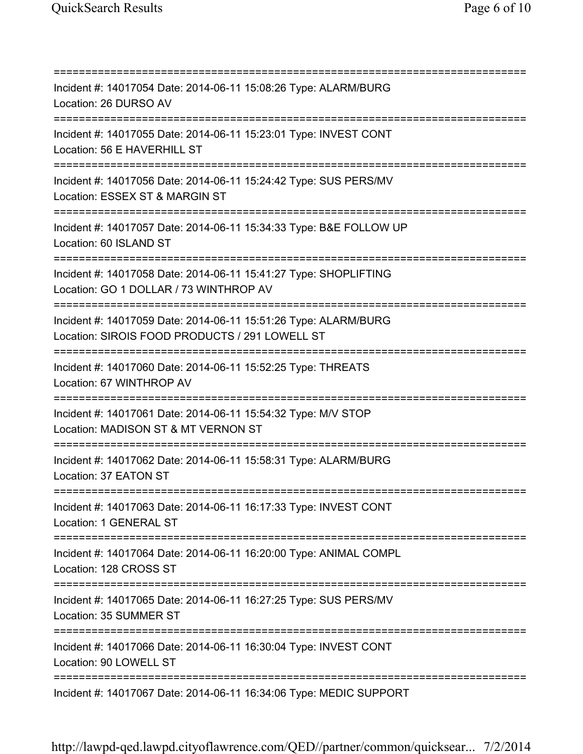=========================================================================== Incident #: 14017054 Date: 2014-06-11 15:08:26 Type: ALARM/BURG Location: 26 DURSO AV =========================================================================== Incident #: 14017055 Date: 2014-06-11 15:23:01 Type: INVEST CONT Location: 56 E HAVERHILL ST =========================================================================== Incident #: 14017056 Date: 2014-06-11 15:24:42 Type: SUS PERS/MV Location: ESSEX ST & MARGIN ST =========================================================================== Incident #: 14017057 Date: 2014-06-11 15:34:33 Type: B&E FOLLOW UP Location: 60 ISLAND ST =========================================================================== Incident #: 14017058 Date: 2014-06-11 15:41:27 Type: SHOPLIFTING Location: GO 1 DOLLAR / 73 WINTHROP AV =========================================================================== Incident #: 14017059 Date: 2014-06-11 15:51:26 Type: ALARM/BURG Location: SIROIS FOOD PRODUCTS / 291 LOWELL ST =========================================================================== Incident #: 14017060 Date: 2014-06-11 15:52:25 Type: THREATS Location: 67 WINTHROP AV =========================================================================== Incident #: 14017061 Date: 2014-06-11 15:54:32 Type: M/V STOP Location: MADISON ST & MT VERNON ST =========================================================================== Incident #: 14017062 Date: 2014-06-11 15:58:31 Type: ALARM/BURG Location: 37 EATON ST =========================================================================== Incident #: 14017063 Date: 2014-06-11 16:17:33 Type: INVEST CONT Location: 1 GENERAL ST =========================================================================== Incident #: 14017064 Date: 2014-06-11 16:20:00 Type: ANIMAL COMPL Location: 128 CROSS ST =========================================================================== Incident #: 14017065 Date: 2014-06-11 16:27:25 Type: SUS PERS/MV Location: 35 SUMMER ST =========================================================================== Incident #: 14017066 Date: 2014-06-11 16:30:04 Type: INVEST CONT Location: 90 LOWELL ST =========================================================================== Incident #: 14017067 Date: 2014-06-11 16:34:06 Type: MEDIC SUPPORT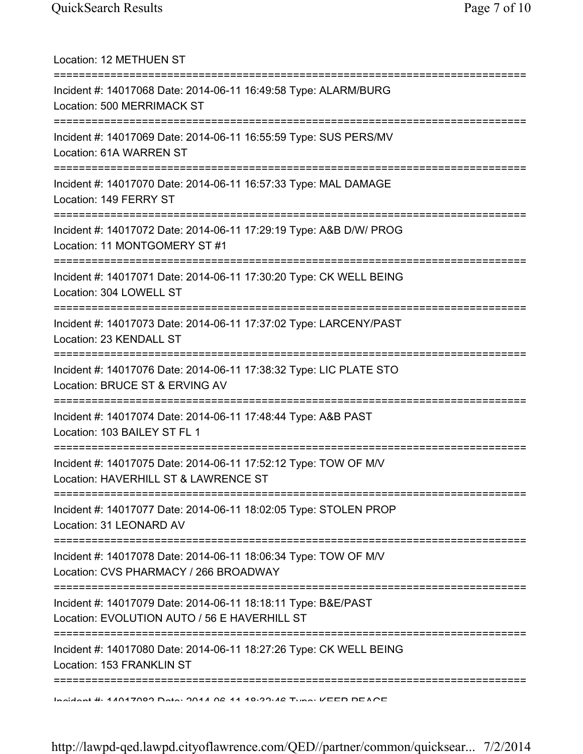| Location: 12 METHUEN ST                                                                                                                   |
|-------------------------------------------------------------------------------------------------------------------------------------------|
| Incident #: 14017068 Date: 2014-06-11 16:49:58 Type: ALARM/BURG<br>Location: 500 MERRIMACK ST<br>=======================                  |
| Incident #: 14017069 Date: 2014-06-11 16:55:59 Type: SUS PERS/MV<br>Location: 61A WARREN ST                                               |
| Incident #: 14017070 Date: 2014-06-11 16:57:33 Type: MAL DAMAGE<br>Location: 149 FERRY ST<br>;===================================         |
| Incident #: 14017072 Date: 2014-06-11 17:29:19 Type: A&B D/W/ PROG<br>Location: 11 MONTGOMERY ST #1                                       |
| Incident #: 14017071 Date: 2014-06-11 17:30:20 Type: CK WELL BEING<br>Location: 304 LOWELL ST                                             |
| Incident #: 14017073 Date: 2014-06-11 17:37:02 Type: LARCENY/PAST<br>Location: 23 KENDALL ST                                              |
| Incident #: 14017076 Date: 2014-06-11 17:38:32 Type: LIC PLATE STO<br>Location: BRUCE ST & ERVING AV                                      |
| ==============<br>Incident #: 14017074 Date: 2014-06-11 17:48:44 Type: A&B PAST<br>Location: 103 BAILEY ST FL 1                           |
| Incident #: 14017075 Date: 2014-06-11 17:52:12 Type: TOW OF M/V<br>Location: HAVERHILL ST & LAWRENCE ST                                   |
| Incident #: 14017077 Date: 2014-06-11 18:02:05 Type: STOLEN PROP<br>Location: 31 LEONARD AV                                               |
| =============================<br>Incident #: 14017078 Date: 2014-06-11 18:06:34 Type: TOW OF M/V<br>Location: CVS PHARMACY / 266 BROADWAY |
| Incident #: 14017079 Date: 2014-06-11 18:18:11 Type: B&E/PAST<br>Location: EVOLUTION AUTO / 56 E HAVERHILL ST                             |
| Incident #: 14017080 Date: 2014-06-11 18:27:26 Type: CK WELL BEING<br>Location: 153 FRANKLIN ST                                           |
| Incident #: 11017000 Dota: 0011 00 11 10:00:10 Tune: VEED DEACE                                                                           |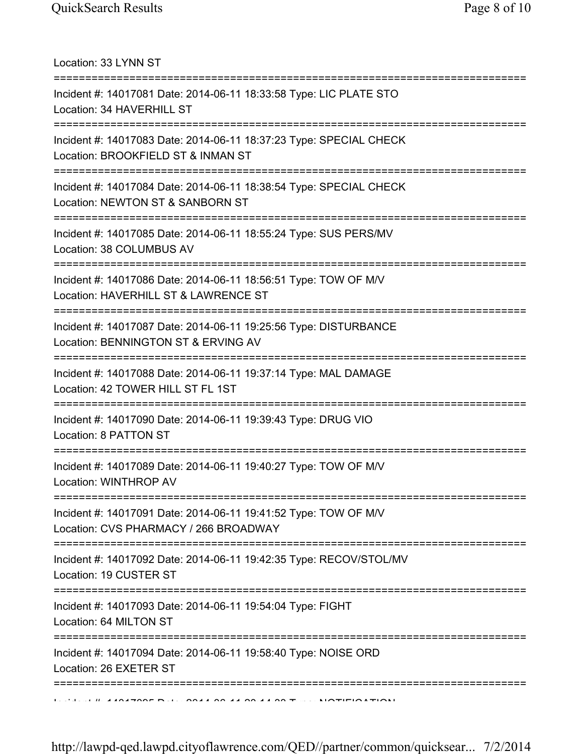Location: 33 LYNN ST =========================================================================== Incident #: 14017081 Date: 2014-06-11 18:33:58 Type: LIC PLATE STO Location: 34 HAVERHILL ST =========================================================================== Incident #: 14017083 Date: 2014-06-11 18:37:23 Type: SPECIAL CHECK Location: BROOKFIELD ST & INMAN ST =========================================================================== Incident #: 14017084 Date: 2014-06-11 18:38:54 Type: SPECIAL CHECK Location: NEWTON ST & SANBORN ST =========================================================================== Incident #: 14017085 Date: 2014-06-11 18:55:24 Type: SUS PERS/MV Location: 38 COLUMBUS AV =========================================================================== Incident #: 14017086 Date: 2014-06-11 18:56:51 Type: TOW OF M/V Location: HAVERHILL ST & LAWRENCE ST =========================================================================== Incident #: 14017087 Date: 2014-06-11 19:25:56 Type: DISTURBANCE Location: BENNINGTON ST & ERVING AV =========================================================================== Incident #: 14017088 Date: 2014-06-11 19:37:14 Type: MAL DAMAGE Location: 42 TOWER HILL ST FL 1ST =========================================================================== Incident #: 14017090 Date: 2014-06-11 19:39:43 Type: DRUG VIO Location: 8 PATTON ST =========================================================================== Incident #: 14017089 Date: 2014-06-11 19:40:27 Type: TOW OF M/V Location: WINTHROP AV =========================================================================== Incident #: 14017091 Date: 2014-06-11 19:41:52 Type: TOW OF M/V Location: CVS PHARMACY / 266 BROADWAY =========================================================================== Incident #: 14017092 Date: 2014-06-11 19:42:35 Type: RECOV/STOL/MV Location: 19 CUSTER ST =========================================================================== Incident #: 14017093 Date: 2014-06-11 19:54:04 Type: FIGHT Location: 64 MILTON ST =========================================================================== Incident #: 14017094 Date: 2014-06-11 19:58:40 Type: NOISE ORD Location: 26 EXETER ST ===========================================================================  $I$  In a solitont belonger and a soliton  $\pi$  is notification.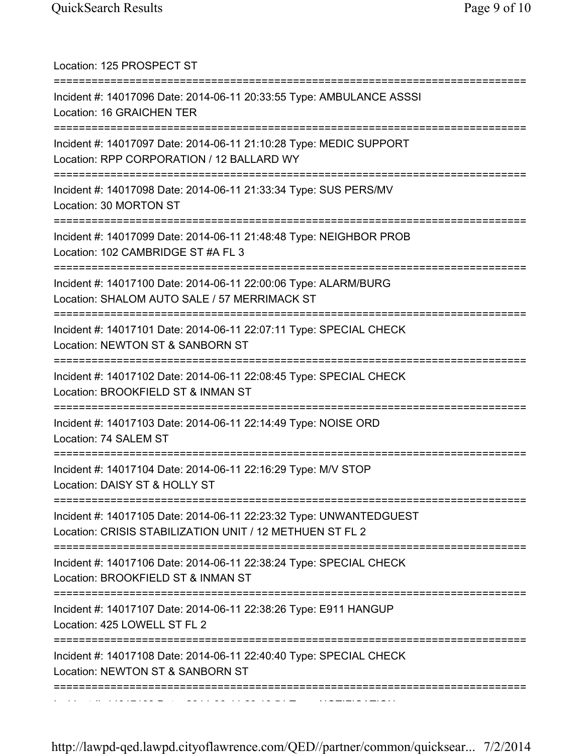| Location: 125 PROSPECT ST                                                                                                      |
|--------------------------------------------------------------------------------------------------------------------------------|
| Incident #: 14017096 Date: 2014-06-11 20:33:55 Type: AMBULANCE ASSSI<br>Location: 16 GRAICHEN TER                              |
| Incident #: 14017097 Date: 2014-06-11 21:10:28 Type: MEDIC SUPPORT<br>Location: RPP CORPORATION / 12 BALLARD WY                |
| Incident #: 14017098 Date: 2014-06-11 21:33:34 Type: SUS PERS/MV<br>Location: 30 MORTON ST                                     |
| Incident #: 14017099 Date: 2014-06-11 21:48:48 Type: NEIGHBOR PROB<br>Location: 102 CAMBRIDGE ST #A FL 3                       |
| Incident #: 14017100 Date: 2014-06-11 22:00:06 Type: ALARM/BURG<br>Location: SHALOM AUTO SALE / 57 MERRIMACK ST                |
| Incident #: 14017101 Date: 2014-06-11 22:07:11 Type: SPECIAL CHECK<br>Location: NEWTON ST & SANBORN ST                         |
| Incident #: 14017102 Date: 2014-06-11 22:08:45 Type: SPECIAL CHECK<br>Location: BROOKFIELD ST & INMAN ST                       |
| Incident #: 14017103 Date: 2014-06-11 22:14:49 Type: NOISE ORD<br>Location: 74 SALEM ST                                        |
| Incident #: 14017104 Date: 2014-06-11 22:16:29 Type: M/V STOP<br>Location: DAISY ST & HOLLY ST                                 |
| Incident #: 14017105 Date: 2014-06-11 22:23:32 Type: UNWANTEDGUEST<br>Location: CRISIS STABILIZATION UNIT / 12 METHUEN ST FL 2 |
| Incident #: 14017106 Date: 2014-06-11 22:38:24 Type: SPECIAL CHECK<br>Location: BROOKFIELD ST & INMAN ST                       |
| :==============<br>Incident #: 14017107 Date: 2014-06-11 22:38:26 Type: E911 HANGUP<br>Location: 425 LOWELL ST FL 2            |
| Incident #: 14017108 Date: 2014-06-11 22:40:40 Type: SPECIAL CHECK<br>Location: NEWTON ST & SANBORN ST                         |
|                                                                                                                                |